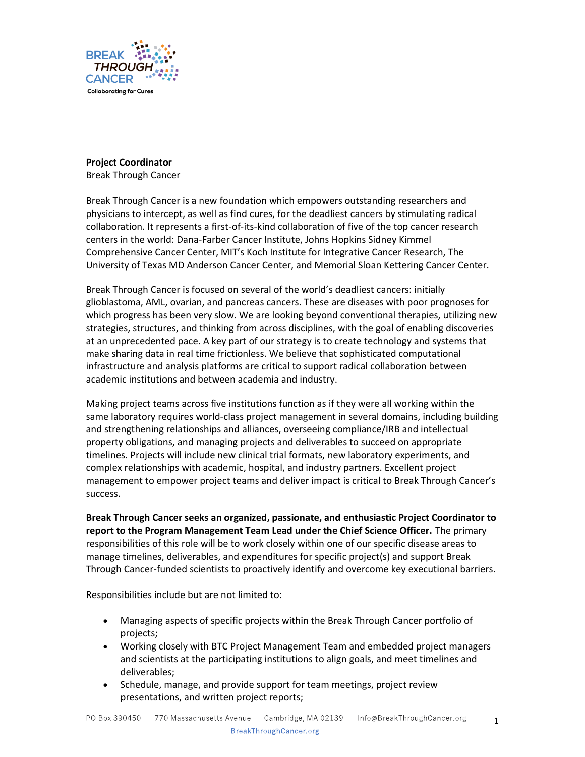

## **Project Coordinator**

Break Through Cancer

Break Through Cancer is a new foundation which empowers outstanding researchers and physicians to intercept, as well as find cures, for the deadliest cancers by stimulating radical collaboration. It represents a first-of-its-kind collaboration of five of the top cancer research centers in the world: Dana-Farber Cancer Institute, Johns Hopkins Sidney Kimmel Comprehensive Cancer Center, MIT's Koch Institute for Integrative Cancer Research, The University of Texas MD Anderson Cancer Center, and Memorial Sloan Kettering Cancer Center.

Break Through Cancer is focused on several of the world's deadliest cancers: initially glioblastoma, AML, ovarian, and pancreas cancers. These are diseases with poor prognoses for which progress has been very slow. We are looking beyond conventional therapies, utilizing new strategies, structures, and thinking from across disciplines, with the goal of enabling discoveries at an unprecedented pace. A key part of our strategy is to create technology and systems that make sharing data in real time frictionless. We believe that sophisticated computational infrastructure and analysis platforms are critical to support radical collaboration between academic institutions and between academia and industry.

Making project teams across five institutions function as if they were all working within the same laboratory requires world-class project management in several domains, including building and strengthening relationships and alliances, overseeing compliance/IRB and intellectual property obligations, and managing projects and deliverables to succeed on appropriate timelines. Projects will include new clinical trial formats, new laboratory experiments, and complex relationships with academic, hospital, and industry partners. Excellent project management to empower project teams and deliver impact is critical to Break Through Cancer's success.

**Break Through Cancer seeks an organized, passionate, and enthusiastic Project Coordinator to report to the Program Management Team Lead under the Chief Science Officer.** The primary responsibilities of this role will be to work closely within one of our specific disease areas to manage timelines, deliverables, and expenditures for specific project(s) and support Break Through Cancer-funded scientists to proactively identify and overcome key executional barriers.

Responsibilities include but are not limited to:

- Managing aspects of specific projects within the Break Through Cancer portfolio of projects;
- Working closely with BTC Project Management Team and embedded project managers and scientists at the participating institutions to align goals, and meet timelines and deliverables;
- Schedule, manage, and provide support for team meetings, project review presentations, and written project reports;